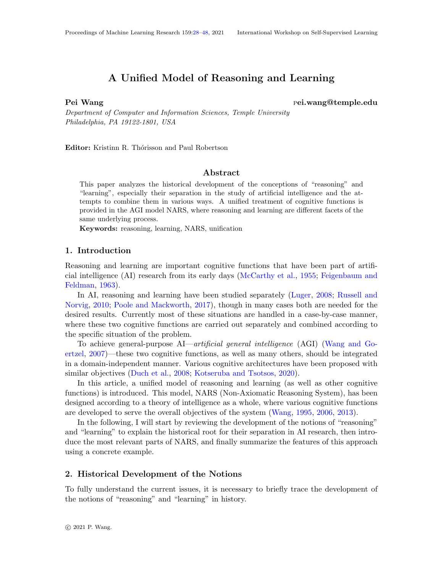# A Unified Model of Reasoning and Learning

<span id="page-0-0"></span>Pei Wang pei.wang@temple.edu

Department of Computer and Information Sciences, Temple University Philadelphia, PA 19122-1801, USA

Editor: Kristinn R. Thórisson and Paul Robertson

# Abstract

This paper analyzes the historical development of the conceptions of "reasoning" and "learning", especially their separation in the study of artificial intelligence and the attempts to combine them in various ways. A unified treatment of cognitive functions is provided in the AGI model NARS, where reasoning and learning are different facets of the same underlying process.

Keywords: reasoning, learning, NARS, unification

# 1. Introduction

Reasoning and learning are important cognitive functions that have been part of artificial intelligence (AI) research from its early days [\(McCarthy et al.,](#page-17-0) [1955;](#page-17-0) [Feigenbaum and](#page-15-0) [Feldman,](#page-15-0) [1963\)](#page-15-0).

In AI, reasoning and learning have been studied separately [\(Luger,](#page-17-1) [2008;](#page-17-1) [Russell and](#page-19-0) [Norvig,](#page-19-0) [2010;](#page-19-0) [Poole and Mackworth,](#page-18-0) [2017\)](#page-18-0), though in many cases both are needed for the desired results. Currently most of these situations are handled in a case-by-case manner, where these two cognitive functions are carried out separately and combined according to the specific situation of the problem.

To achieve general-purpose AI—artificial general intelligence (AGI) [\(Wang and Go](#page-20-1)[ertzel,](#page-20-1) [2007\)](#page-20-1)—these two cognitive functions, as well as many others, should be integrated in a domain-independent manner. Various cognitive architectures have been proposed with similar objectives [\(Duch et al.,](#page-15-1) [2008;](#page-15-1) [Kotseruba and Tsotsos,](#page-17-2) [2020\)](#page-17-2).

In this article, a unified model of reasoning and learning (as well as other cognitive functions) is introduced. This model, NARS (Non-Axiomatic Reasoning System), has been designed according to a theory of intelligence as a whole, where various cognitive functions are developed to serve the overall objectives of the system [\(Wang,](#page-19-1) [1995,](#page-19-1) [2006,](#page-19-2) [2013\)](#page-20-2).

In the following, I will start by reviewing the development of the notions of "reasoning" and "learning" to explain the historical root for their separation in AI research, then introduce the most relevant parts of NARS, and finally summarize the features of this approach using a concrete example.

# 2. Historical Development of the Notions

To fully understand the current issues, it is necessary to briefly trace the development of the notions of "reasoning" and "learning" in history.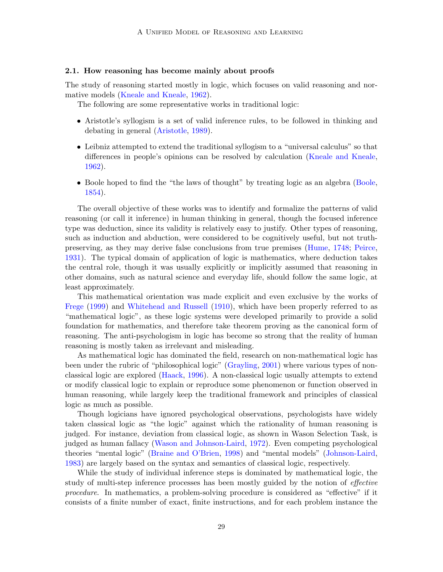### 2.1. How reasoning has become mainly about proofs

The study of reasoning started mostly in logic, which focuses on valid reasoning and normative models [\(Kneale and Kneale,](#page-17-3) [1962\)](#page-17-3).

The following are some representative works in traditional logic:

- Aristotle's syllogism is a set of valid inference rules, to be followed in thinking and debating in general [\(Aristotle,](#page-15-2) [1989\)](#page-15-2).
- Leibniz attempted to extend the traditional syllogism to a "universal calculus" so that differences in people's opinions can be resolved by calculation [\(Kneale and Kneale,](#page-17-3) [1962\)](#page-17-3).
- Boole hoped to find the "the laws of thought" by treating logic as an algebra [\(Boole,](#page-15-3) [1854\)](#page-15-3).

The overall objective of these works was to identify and formalize the patterns of valid reasoning (or call it inference) in human thinking in general, though the focused inference type was deduction, since its validity is relatively easy to justify. Other types of reasoning, such as induction and abduction, were considered to be cognitively useful, but not truthpreserving, as they may derive false conclusions from true premises [\(Hume,](#page-17-4) [1748;](#page-17-4) [Peirce,](#page-18-1) [1931\)](#page-18-1). The typical domain of application of logic is mathematics, where deduction takes the central role, though it was usually explicitly or implicitly assumed that reasoning in other domains, such as natural science and everyday life, should follow the same logic, at least approximately.

This mathematical orientation was made explicit and even exclusive by the works of [Frege](#page-16-0) [\(1999\)](#page-16-0) and [Whitehead and Russell](#page-20-3) [\(1910\)](#page-20-3), which have been properly referred to as "mathematical logic", as these logic systems were developed primarily to provide a solid foundation for mathematics, and therefore take theorem proving as the canonical form of reasoning. The anti-psychologism in logic has become so strong that the reality of human reasoning is mostly taken as irrelevant and misleading.

As mathematical logic has dominated the field, research on non-mathematical logic has been under the rubric of "philosophical logic" [\(Grayling,](#page-16-1) [2001\)](#page-16-1) where various types of nonclassical logic are explored [\(Haack,](#page-16-2) [1996\)](#page-16-2). A non-classical logic usually attempts to extend or modify classical logic to explain or reproduce some phenomenon or function observed in human reasoning, while largely keep the traditional framework and principles of classical logic as much as possible.

Though logicians have ignored psychological observations, psychologists have widely taken classical logic as "the logic" against which the rationality of human reasoning is judged. For instance, deviation from classical logic, as shown in Wason Selection Task, is judged as human fallacy [\(Wason and Johnson-Laird,](#page-20-4) [1972\)](#page-20-4). Even competing psychological theories "mental logic" [\(Braine and O'Brien,](#page-15-4) [1998\)](#page-15-4) and "mental models" [\(Johnson-Laird,](#page-17-5) [1983\)](#page-17-5) are largely based on the syntax and semantics of classical logic, respectively.

While the study of individual inference steps is dominated by mathematical logic, the study of multi-step inference processes has been mostly guided by the notion of *effective* procedure. In mathematics, a problem-solving procedure is considered as "effective" if it consists of a finite number of exact, finite instructions, and for each problem instance the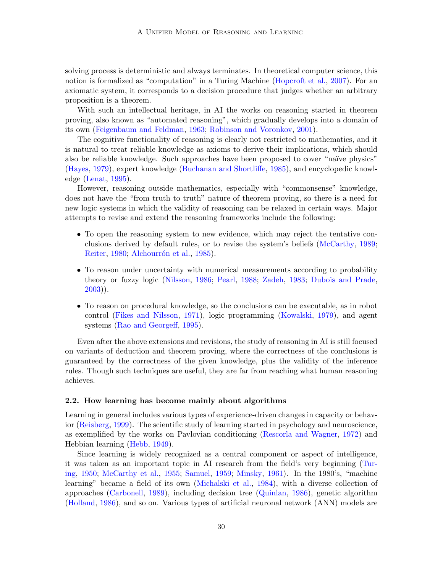solving process is deterministic and always terminates. In theoretical computer science, this notion is formalized as "computation" in a Turing Machine [\(Hopcroft et al.,](#page-17-6) [2007\)](#page-17-6). For an axiomatic system, it corresponds to a decision procedure that judges whether an arbitrary proposition is a theorem.

With such an intellectual heritage, in AI the works on reasoning started in theorem proving, also known as "automated reasoning", which gradually develops into a domain of its own [\(Feigenbaum and Feldman,](#page-15-0) [1963;](#page-15-0) [Robinson and Voronkov,](#page-18-2) [2001\)](#page-18-2).

The cognitive functionality of reasoning is clearly not restricted to mathematics, and it is natural to treat reliable knowledge as axioms to derive their implications, which should also be reliable knowledge. Such approaches have been proposed to cover "na¨ıve physics" [\(Hayes,](#page-16-3) [1979\)](#page-16-3), expert knowledge [\(Buchanan and Shortliffe,](#page-15-5) [1985\)](#page-15-5), and encyclopedic knowledge [\(Lenat,](#page-17-7) [1995\)](#page-17-7).

However, reasoning outside mathematics, especially with "commonsense" knowledge, does not have the "from truth to truth" nature of theorem proving, so there is a need for new logic systems in which the validity of reasoning can be relaxed in certain ways. Major attempts to revise and extend the reasoning frameworks include the following:

- To open the reasoning system to new evidence, which may reject the tentative conclusions derived by default rules, or to revise the system's beliefs [\(McCarthy,](#page-17-8) [1989;](#page-17-8) [Reiter,](#page-18-3) [1980;](#page-18-3) Alchourrón et al., [1985\)](#page-15-6).
- To reason under uncertainty with numerical measurements according to probability theory or fuzzy logic [\(Nilsson,](#page-18-4) [1986;](#page-18-4) [Pearl,](#page-18-5) [1988;](#page-18-5) [Zadeh,](#page-20-5) [1983;](#page-20-5) [Dubois and Prade,](#page-15-7) [2003\)](#page-15-7)).
- To reason on procedural knowledge, so the conclusions can be executable, as in robot control [\(Fikes and Nilsson,](#page-16-4) [1971\)](#page-16-4), logic programming [\(Kowalski,](#page-17-9) [1979\)](#page-17-9), and agent systems [\(Rao and Georgeff,](#page-18-6) [1995\)](#page-18-6).

Even after the above extensions and revisions, the study of reasoning in AI is still focused on variants of deduction and theorem proving, where the correctness of the conclusions is guaranteed by the correctness of the given knowledge, plus the validity of the inference rules. Though such techniques are useful, they are far from reaching what human reasoning achieves.

### 2.2. How learning has become mainly about algorithms

Learning in general includes various types of experience-driven changes in capacity or behavior [\(Reisberg,](#page-18-7) [1999\)](#page-18-7). The scientific study of learning started in psychology and neuroscience, as exemplified by the works on Pavlovian conditioning [\(Rescorla and Wagner,](#page-18-8) [1972\)](#page-18-8) and Hebbian learning [\(Hebb,](#page-16-5) [1949\)](#page-16-5).

Since learning is widely recognized as a central component or aspect of intelligence, it was taken as an important topic in AI research from the field's very beginning [\(Tur](#page-19-3)[ing,](#page-19-3) [1950;](#page-19-3) [McCarthy et al.,](#page-17-0) [1955;](#page-17-0) [Samuel,](#page-19-4) [1959;](#page-19-4) [Minsky,](#page-18-9) [1961\)](#page-18-9). In the 1980's, "machine learning" became a field of its own [\(Michalski et al.,](#page-17-10) [1984\)](#page-17-10), with a diverse collection of approaches [\(Carbonell,](#page-15-8) [1989\)](#page-15-8), including decision tree [\(Quinlan,](#page-18-10) [1986\)](#page-18-10), genetic algorithm [\(Holland,](#page-17-11) [1986\)](#page-17-11), and so on. Various types of artificial neuronal network (ANN) models are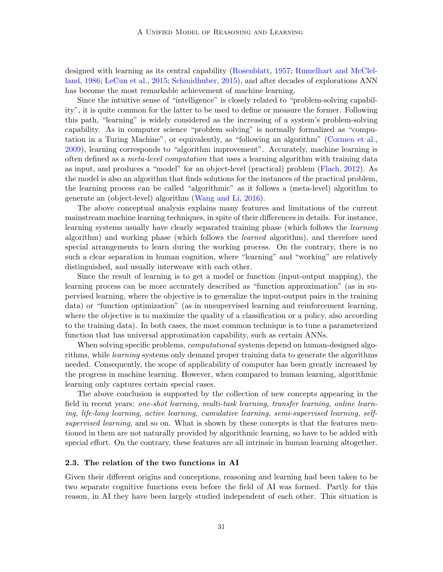designed with learning as its central capability [\(Rosenblatt,](#page-18-11) [1957;](#page-18-11) [Rumelhart and McClel](#page-19-5)[land,](#page-19-5) [1986;](#page-19-5) [LeCun et al.,](#page-17-12) [2015;](#page-17-12) [Schmidhuber,](#page-19-6) [2015\)](#page-19-6), and after decades of explorations ANN has become the most remarkable achievement of machine learning.

Since the intuitive sense of "intelligence" is closely related to "problem-solving capability", it is quite common for the latter to be used to define or measure the former. Following this path, "learning" is widely considered as the increasing of a system's problem-solving capability. As in computer science "problem solving" is normally formalized as "computation in a Turing Machine", or equivalently, as "following an algorithm" [\(Cormen et al.,](#page-15-9) [2009\)](#page-15-9), learning corresponds to "algorithm improvement". Accurately, machine learning is often defined as a meta-level computation that uses a learning algorithm with training data as input, and produces a "model" for an object-level (practical) problem [\(Flach,](#page-16-6) [2012\)](#page-16-6). As the model is also an algorithm that finds solutions for the instances of the practical problem, the learning process can be called "algorithmic" as it follows a (meta-level) algorithm to generate an (object-level) algorithm [\(Wang and Li,](#page-20-6) [2016\)](#page-20-6).

The above conceptual analysis explains many features and limitations of the current mainstream machine learning techniques, in spite of their differences in details. For instance, learning systems usually have clearly separated training phase (which follows the learning algorithm) and working phase (which follows the learned algorithm), and therefore need special arrangements to learn during the working process. On the contrary, there is no such a clear separation in human cognition, where "learning" and "working" are relatively distinguished, and usually interweave with each other.

Since the result of learning is to get a model or function (input-output mapping), the learning process can be more accurately described as "function approximation" (as in supervised learning, where the objective is to generalize the input-output pairs in the training data) or "function optimization" (as in unsupervised learning and reinforcement learning, where the objective is to maximize the quality of a classification or a policy, also according to the training data). In both cases, the most common technique is to tune a parameterized function that has universal approximation capability, such as certain ANNs.

When solving specific problems, *computational* systems depend on human-designed algorithms, while *learning* systems only demand proper training data to generate the algorithms needed. Consequently, the scope of applicability of computer has been greatly increased by the progress in machine learning. However, when compared to human learning, algorithmic learning only captures certain special cases.

The above conclusion is supported by the collection of new concepts appearing in the field in recent years: one-shot learning, multi-task learning, transfer learning, online learning, life-long learning, active learning, cumulative learning, semi-supervised learning, selfsupervised learning, and so on. What is shown by these concepts is that the features mentioned in them are not naturally provided by algorithmic learning, so have to be added with special effort. On the contrary, these features are all intrinsic in human learning altogether.

#### 2.3. The relation of the two functions in AI

Given their different origins and conceptions, reasoning and learning had been taken to be two separate cognitive functions even before the field of AI was formed. Partly for this reason, in AI they have been largely studied independent of each other. This situation is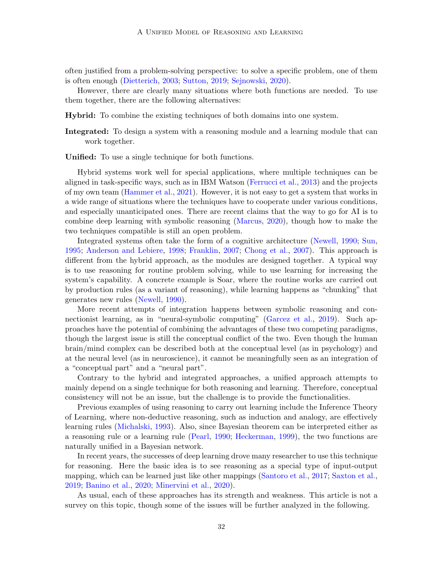often justified from a problem-solving perspective: to solve a specific problem, one of them is often enough [\(Dietterich,](#page-15-10) [2003;](#page-15-10) [Sutton,](#page-19-7) [2019;](#page-19-7) [Sejnowski,](#page-19-8) [2020\)](#page-19-8).

However, there are clearly many situations where both functions are needed. To use them together, there are the following alternatives:

Hybrid: To combine the existing techniques of both domains into one system.

Integrated: To design a system with a reasoning module and a learning module that can work together.

Unified: To use a single technique for both functions.

Hybrid systems work well for special applications, where multiple techniques can be aligned in task-specific ways, such as in IBM Watson [\(Ferrucci et al.,](#page-16-7) [2013\)](#page-16-7) and the projects of my own team [\(Hammer et al.,](#page-16-8) [2021\)](#page-16-8). However, it is not easy to get a system that works in a wide range of situations where the techniques have to cooperate under various conditions, and especially unanticipated ones. There are recent claims that the way to go for AI is to combine deep learning with symbolic reasoning [\(Marcus,](#page-17-13) [2020\)](#page-17-13), though how to make the two techniques compatible is still an open problem.

Integrated systems often take the form of a cognitive architecture [\(Newell,](#page-18-12) [1990;](#page-18-12) [Sun,](#page-19-9) [1995;](#page-19-9) [Anderson and Lebiere,](#page-15-11) [1998;](#page-15-11) [Franklin,](#page-16-9) [2007;](#page-16-9) [Chong et al.,](#page-15-12) [2007\)](#page-15-12). This approach is different from the hybrid approach, as the modules are designed together. A typical way is to use reasoning for routine problem solving, while to use learning for increasing the system's capability. A concrete example is Soar, where the routine works are carried out by production rules (as a variant of reasoning), while learning happens as "chunking" that generates new rules [\(Newell,](#page-18-12) [1990\)](#page-18-12).

More recent attempts of integration happens between symbolic reasoning and connectionist learning, as in "neural-symbolic computing" [\(Garcez et al.,](#page-16-10) [2019\)](#page-16-10). Such approaches have the potential of combining the advantages of these two competing paradigms, though the largest issue is still the conceptual conflict of the two. Even though the human brain/mind complex can be described both at the conceptual level (as in psychology) and at the neural level (as in neuroscience), it cannot be meaningfully seen as an integration of a "conceptual part" and a "neural part".

Contrary to the hybrid and integrated approaches, a unified approach attempts to mainly depend on a single technique for both reasoning and learning. Therefore, conceptual consistency will not be an issue, but the challenge is to provide the functionalities.

Previous examples of using reasoning to carry out learning include the Inference Theory of Learning, where non-deductive reasoning, such as induction and analogy, are effectively learning rules [\(Michalski,](#page-18-13) [1993\)](#page-18-13). Also, since Bayesian theorem can be interpreted either as a reasoning rule or a learning rule [\(Pearl,](#page-18-14) [1990;](#page-18-14) [Heckerman,](#page-16-11) [1999\)](#page-16-11), the two functions are naturally unified in a Bayesian network.

In recent years, the successes of deep learning drove many researcher to use this technique for reasoning. Here the basic idea is to see reasoning as a special type of input-output mapping, which can be learned just like other mappings [\(Santoro et al.,](#page-19-10) [2017;](#page-19-10) [Saxton et al.,](#page-19-11) [2019;](#page-19-11) [Banino et al.,](#page-15-13) [2020;](#page-15-13) [Minervini et al.,](#page-18-15) [2020\)](#page-18-15).

As usual, each of these approaches has its strength and weakness. This article is not a survey on this topic, though some of the issues will be further analyzed in the following.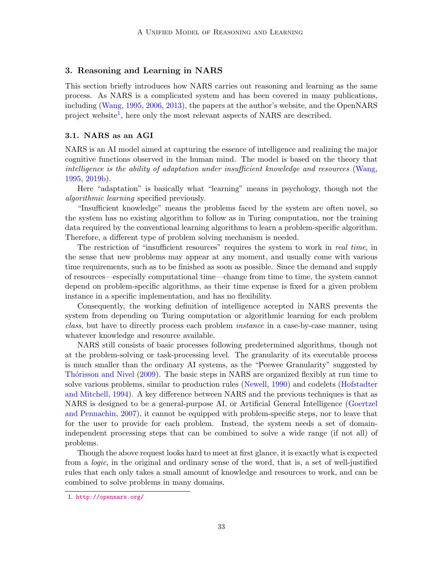# 3. Reasoning and Learning in NARS

This section briefly introduces how NARS carries out reasoning and learning as the same process. As NARS is a complicated system and has been covered in many publications, including [\(Wang,](#page-19-1) [1995,](#page-19-1) [2006,](#page-19-2) [2013\)](#page-20-2), the papers at the author's website, and the OpenNARS project website<sup>[1](#page-5-0)</sup>, here only the most relevant aspects of NARS are described.

### 3.1. NARS as an AGI

NARS is an AI model aimed at capturing the essence of intelligence and realizing the major cognitive functions observed in the human mind. The model is based on the theory that intelligence is the ability of adaptation under insufficient knowledge and resources [\(Wang,](#page-19-1) [1995,](#page-19-1) [2019b\)](#page-20-7).

Here "adaptation" is basically what "learning" means in psychology, though not the algorithmic learning specified previously.

"Insufficient knowledge" means the problems faced by the system are often novel, so the system has no existing algorithm to follow as in Turing computation, nor the training data required by the conventional learning algorithms to learn a problem-specific algorithm. Therefore, a different type of problem solving mechanism is needed.

The restriction of "insufficient resources" requires the system to work in *real time*, in the sense that new problems may appear at any moment, and usually come with various time requirements, such as to be finished as soon as possible. Since the demand and supply of resources—especially computational time—change from time to time, the system cannot depend on problem-specific algorithms, as their time expense is fixed for a given problem instance in a specific implementation, and has no flexibility.

Consequently, the working definition of intelligence accepted in NARS prevents the system from depending on Turing computation or algorithmic learning for each problem class, but have to directly process each problem instance in a case-by-case manner, using whatever knowledge and resource available.

NARS still consists of basic processes following predetermined algorithms, though not at the problem-solving or task-processing level. The granularity of its executable process is much smaller than the ordinary AI systems, as the "Peewee Granularity" suggested by Thórisson and Nivel [\(2009\)](#page-19-12). The basic steps in NARS are organized flexibly at run time to solve various problems, similar to production rules [\(Newell,](#page-18-12) [1990\)](#page-18-12) and codelets [\(Hofstadter](#page-17-14) [and Mitchell,](#page-17-14) [1994\)](#page-17-14). A key difference between NARS and the previous techniques is that as NARS is designed to be a general-purpose AI, or Artificial General Intelligence [\(Goertzel](#page-16-12) [and Pennachin,](#page-16-12) [2007\)](#page-16-12), it cannot be equipped with problem-specific steps, nor to leave that for the user to provide for each problem. Instead, the system needs a set of domainindependent processing steps that can be combined to solve a wide range (if not all) of problems.

Though the above request looks hard to meet at first glance, it is exactly what is expected from a logic, in the original and ordinary sense of the word, that is, a set of well-justified rules that each only takes a small amount of knowledge and resources to work, and can be combined to solve problems in many domains.

<span id="page-5-0"></span><sup>1.</sup> <http://opennars.org/>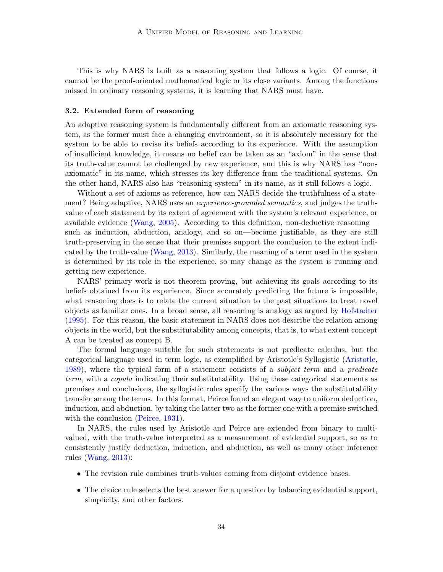This is why NARS is built as a reasoning system that follows a logic. Of course, it cannot be the proof-oriented mathematical logic or its close variants. Among the functions missed in ordinary reasoning systems, it is learning that NARS must have.

### 3.2. Extended form of reasoning

An adaptive reasoning system is fundamentally different from an axiomatic reasoning system, as the former must face a changing environment, so it is absolutely necessary for the system to be able to revise its beliefs according to its experience. With the assumption of insufficient knowledge, it means no belief can be taken as an "axiom" in the sense that its truth-value cannot be challenged by new experience, and this is why NARS has "nonaxiomatic" in its name, which stresses its key difference from the traditional systems. On the other hand, NARS also has "reasoning system" in its name, as it still follows a logic.

Without a set of axioms as reference, how can NARS decide the truthfulness of a statement? Being adaptive, NARS uses an *experience-grounded semantics*, and judges the truthvalue of each statement by its extent of agreement with the system's relevant experience, or available evidence [\(Wang,](#page-19-13) [2005\)](#page-19-13). According to this definition, non-deductive reasoning such as induction, abduction, analogy, and so on—become justifiable, as they are still truth-preserving in the sense that their premises support the conclusion to the extent indicated by the truth-value [\(Wang,](#page-20-2) [2013\)](#page-20-2). Similarly, the meaning of a term used in the system is determined by its role in the experience, so may change as the system is running and getting new experience.

NARS' primary work is not theorem proving, but achieving its goals according to its beliefs obtained from its experience. Since accurately predicting the future is impossible, what reasoning does is to relate the current situation to the past situations to treat novel objects as familiar ones. In a broad sense, all reasoning is analogy as argued by [Hofstadter](#page-16-13) [\(1995\)](#page-16-13). For this reason, the basic statement in NARS does not describe the relation among objects in the world, but the substitutability among concepts, that is, to what extent concept A can be treated as concept B.

The formal language suitable for such statements is not predicate calculus, but the categorical language used in term logic, as exemplified by Aristotle's Syllogistic [\(Aristotle,](#page-15-2) [1989\)](#page-15-2), where the typical form of a statement consists of a *subject term* and a *predicate* term, with a copula indicating their substitutability. Using these categorical statements as premises and conclusions, the syllogistic rules specify the various ways the substitutability transfer among the terms. In this format, Peirce found an elegant way to uniform deduction, induction, and abduction, by taking the latter two as the former one with a premise switched with the conclusion [\(Peirce,](#page-18-1) [1931\)](#page-18-1).

In NARS, the rules used by Aristotle and Peirce are extended from binary to multivalued, with the truth-value interpreted as a measurement of evidential support, so as to consistently justify deduction, induction, and abduction, as well as many other inference rules [\(Wang,](#page-20-2) [2013\)](#page-20-2):

- The revision rule combines truth-values coming from disjoint evidence bases.
- The choice rule selects the best answer for a question by balancing evidential support, simplicity, and other factors.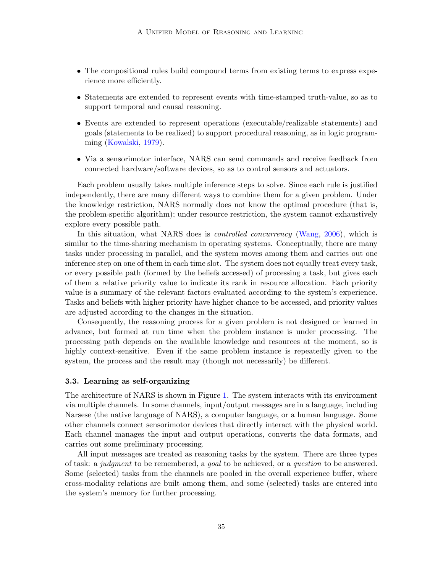- The compositional rules build compound terms from existing terms to express experience more efficiently.
- Statements are extended to represent events with time-stamped truth-value, so as to support temporal and causal reasoning.
- Events are extended to represent operations (executable/realizable statements) and goals (statements to be realized) to support procedural reasoning, as in logic programming [\(Kowalski,](#page-17-9) [1979\)](#page-17-9).
- Via a sensorimotor interface, NARS can send commands and receive feedback from connected hardware/software devices, so as to control sensors and actuators.

Each problem usually takes multiple inference steps to solve. Since each rule is justified independently, there are many different ways to combine them for a given problem. Under the knowledge restriction, NARS normally does not know the optimal procedure (that is, the problem-specific algorithm); under resource restriction, the system cannot exhaustively explore every possible path.

In this situation, what NARS does is *controlled concurrency* [\(Wang,](#page-19-2) [2006\)](#page-19-2), which is similar to the time-sharing mechanism in operating systems. Conceptually, there are many tasks under processing in parallel, and the system moves among them and carries out one inference step on one of them in each time slot. The system does not equally treat every task, or every possible path (formed by the beliefs accessed) of processing a task, but gives each of them a relative priority value to indicate its rank in resource allocation. Each priority value is a summary of the relevant factors evaluated according to the system's experience. Tasks and beliefs with higher priority have higher chance to be accessed, and priority values are adjusted according to the changes in the situation.

Consequently, the reasoning process for a given problem is not designed or learned in advance, but formed at run time when the problem instance is under processing. The processing path depends on the available knowledge and resources at the moment, so is highly context-sensitive. Even if the same problem instance is repeatedly given to the system, the process and the result may (though not necessarily) be different.

### 3.3. Learning as self-organizing

The architecture of NARS is shown in Figure [1.](#page-8-0) The system interacts with its environment via multiple channels. In some channels, input/output messages are in a language, including Narsese (the native language of NARS), a computer language, or a human language. Some other channels connect sensorimotor devices that directly interact with the physical world. Each channel manages the input and output operations, converts the data formats, and carries out some preliminary processing.

All input messages are treated as reasoning tasks by the system. There are three types of task: a judgment to be remembered, a goal to be achieved, or a question to be answered. Some (selected) tasks from the channels are pooled in the overall experience buffer, where cross-modality relations are built among them, and some (selected) tasks are entered into the system's memory for further processing.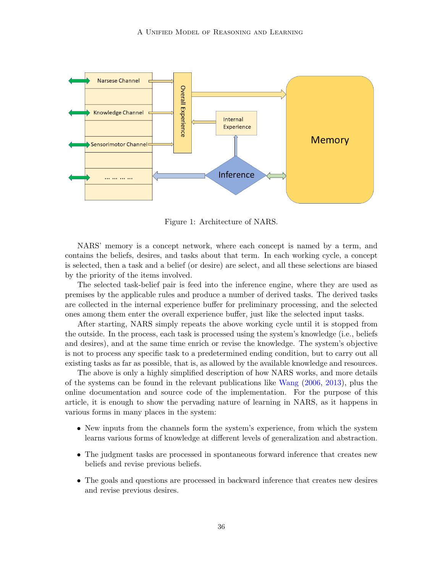

<span id="page-8-0"></span>Figure 1: Architecture of NARS.

NARS' memory is a concept network, where each concept is named by a term, and contains the beliefs, desires, and tasks about that term. In each working cycle, a concept is selected, then a task and a belief (or desire) are select, and all these selections are biased by the priority of the items involved.

The selected task-belief pair is feed into the inference engine, where they are used as premises by the applicable rules and produce a number of derived tasks. The derived tasks are collected in the internal experience buffer for preliminary processing, and the selected ones among them enter the overall experience buffer, just like the selected input tasks.

After starting, NARS simply repeats the above working cycle until it is stopped from the outside. In the process, each task is processed using the system's knowledge (i.e., beliefs and desires), and at the same time enrich or revise the knowledge. The system's objective is not to process any specific task to a predetermined ending condition, but to carry out all existing tasks as far as possible, that is, as allowed by the available knowledge and resources.

The above is only a highly simplified description of how NARS works, and more details of the systems can be found in the relevant publications like [Wang](#page-19-2) [\(2006,](#page-19-2) [2013\)](#page-20-2), plus the online documentation and source code of the implementation. For the purpose of this article, it is enough to show the pervading nature of learning in NARS, as it happens in various forms in many places in the system:

- New inputs from the channels form the system's experience, from which the system learns various forms of knowledge at different levels of generalization and abstraction.
- The judgment tasks are processed in spontaneous forward inference that creates new beliefs and revise previous beliefs.
- The goals and questions are processed in backward inference that creates new desires and revise previous desires.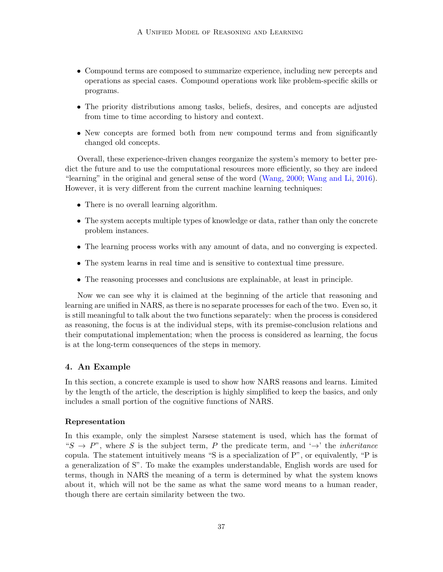- Compound terms are composed to summarize experience, including new percepts and operations as special cases. Compound operations work like problem-specific skills or programs.
- The priority distributions among tasks, beliefs, desires, and concepts are adjusted from time to time according to history and context.
- New concepts are formed both from new compound terms and from significantly changed old concepts.

Overall, these experience-driven changes reorganize the system's memory to better predict the future and to use the computational resources more efficiently, so they are indeed "learning" in the original and general sense of the word [\(Wang,](#page-19-14) [2000;](#page-19-14) [Wang and Li,](#page-20-6) [2016\)](#page-20-6). However, it is very different from the current machine learning techniques:

- There is no overall learning algorithm.
- The system accepts multiple types of knowledge or data, rather than only the concrete problem instances.
- The learning process works with any amount of data, and no converging is expected.
- The system learns in real time and is sensitive to contextual time pressure.
- The reasoning processes and conclusions are explainable, at least in principle.

Now we can see why it is claimed at the beginning of the article that reasoning and learning are unified in NARS, as there is no separate processes for each of the two. Even so, it is still meaningful to talk about the two functions separately: when the process is considered as reasoning, the focus is at the individual steps, with its premise-conclusion relations and their computational implementation; when the process is considered as learning, the focus is at the long-term consequences of the steps in memory.

# 4. An Example

In this section, a concrete example is used to show how NARS reasons and learns. Limited by the length of the article, the description is highly simplified to keep the basics, and only includes a small portion of the cognitive functions of NARS.

### Representation

In this example, only the simplest Narsese statement is used, which has the format of " $S \to P$ ", where S is the subject term, P the predicate term, and ' $\rightarrow$ ' the *inheritance* copula. The statement intuitively means "S is a specialization of P", or equivalently, "P is a generalization of S". To make the examples understandable, English words are used for terms, though in NARS the meaning of a term is determined by what the system knows about it, which will not be the same as what the same word means to a human reader, though there are certain similarity between the two.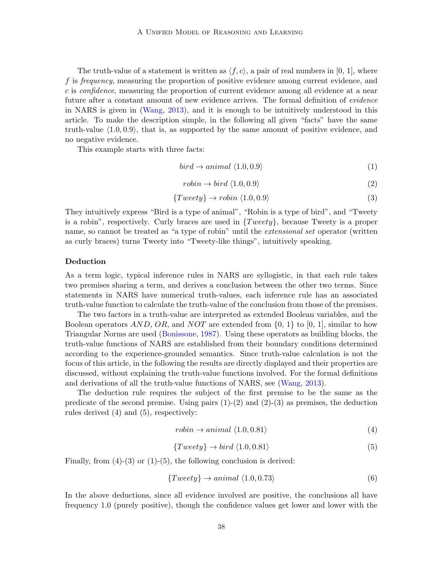The truth-value of a statement is written as  $\langle f, c \rangle$ , a pair of real numbers in [0, 1], where f is frequency, measuring the proportion of positive evidence among current evidence, and c is confidence, measuring the proportion of current evidence among all evidence at a near future after a constant amount of new evidence arrives. The formal definition of *evidence* in NARS is given in [\(Wang,](#page-20-2) [2013\)](#page-20-2), and it is enough to be intuitively understood in this article. To make the description simple, in the following all given "facts" have the same truth-value  $\langle 1.0, 0.9 \rangle$ , that is, as supported by the same amount of positive evidence, and no negative evidence.

This example starts with three facts:

$$
bird \to animal \langle 1.0, 0.9 \rangle \tag{1}
$$

$$
robin \to bird \langle 1.0, 0.9 \rangle \tag{2}
$$

$$
\{Tweety\} \to \text{robin} \langle 1.0, 0.9 \rangle \tag{3}
$$

They intuitively express "Bird is a type of animal", "Robin is a type of bird", and "Tweety is a robin", respectively. Curly braces are used in  $\{T \nvert\}$ , because Tweety is a proper name, so cannot be treated as "a type of robin" until the *extensional set* operator (written as curly braces) turns Tweety into "Tweety-like things", intuitively speaking.

# Deduction

As a term logic, typical inference rules in NARS are syllogistic, in that each rule takes two premises sharing a term, and derives a conclusion between the other two terms. Since statements in NARS have numerical truth-values, each inference rule has an associated truth-value function to calculate the truth-value of the conclusion from those of the premises.

The two factors in a truth-value are interpreted as extended Boolean variables, and the Boolean operators  $AND$ ,  $OR$ , and  $NOT$  are extended from  $\{0, 1\}$  to  $[0, 1]$ , similar to how Triangular Norms are used [\(Bonissone,](#page-15-14) [1987\)](#page-15-14). Using these operators as building blocks, the truth-value functions of NARS are established from their boundary conditions determined according to the experience-grounded semantics. Since truth-value calculation is not the focus of this article, in the following the results are directly displayed and their properties are discussed, without explaining the truth-value functions involved. For the formal definitions and derivations of all the truth-value functions of NARS, see [\(Wang,](#page-20-2) [2013\)](#page-20-2).

The deduction rule requires the subject of the first premise to be the same as the predicate of the second premise. Using pairs  $(1)-(2)$  and  $(2)-(3)$  as premises, the deduction rules derived (4) and (5), respectively:

$$
robin \rightarrow animal \langle 1.0, 0.81 \rangle \tag{4}
$$

$$
\{Tweety\} \to bird \langle 1.0, 0.81 \rangle \tag{5}
$$

Finally, from  $(4)-(3)$  or  $(1)-(5)$ , the following conclusion is derived:

$$
\{Tweety\} \to animal \langle 1.0, 0.73 \rangle \tag{6}
$$

In the above deductions, since all evidence involved are positive, the conclusions all have frequency 1.0 (purely positive), though the confidence values get lower and lower with the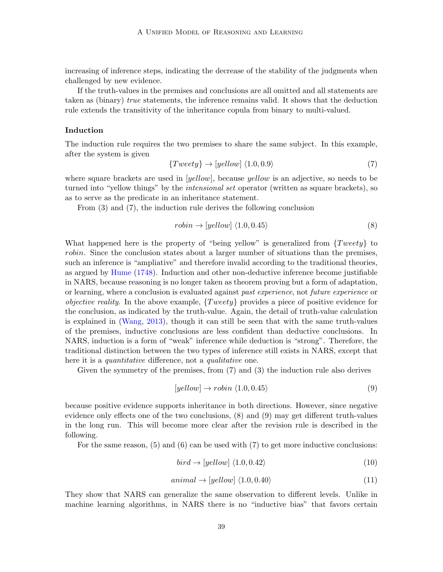increasing of inference steps, indicating the decrease of the stability of the judgments when challenged by new evidence.

If the truth-values in the premises and conclusions are all omitted and all statements are taken as (binary) true statements, the inference remains valid. It shows that the deduction rule extends the transitivity of the inheritance copula from binary to multi-valued.

# Induction

The induction rule requires the two premises to share the same subject. In this example, after the system is given

$$
\{Tweety\} \to [yellow] \langle 1.0, 0.9 \rangle \tag{7}
$$

where square brackets are used in [yellow], because yellow is an adjective, so needs to be turned into "yellow things" by the *intensional set* operator (written as square brackets), so as to serve as the predicate in an inheritance statement.

From (3) and (7), the induction rule derives the following conclusion

$$
robin \rightarrow [yellow] \langle 1.0, 0.45 \rangle \tag{8}
$$

What happened here is the property of "being yellow" is generalized from  $\{Tweety\}$  to robin. Since the conclusion states about a larger number of situations than the premises, such an inference is "ampliative" and therefore invalid according to the traditional theories, as argued by [Hume](#page-17-4) [\(1748\)](#page-17-4). Induction and other non-deductive inference become justifiable in NARS, because reasoning is no longer taken as theorem proving but a form of adaptation, or learning, where a conclusion is evaluated against *past experience*, not *future experience* or *objective reality.* In the above example,  $\{T \text{wecty}\}$  provides a piece of positive evidence for the conclusion, as indicated by the truth-value. Again, the detail of truth-value calculation is explained in [\(Wang,](#page-20-2) [2013\)](#page-20-2), though it can still be seen that with the same truth-values of the premises, inductive conclusions are less confident than deductive conclusions. In NARS, induction is a form of "weak" inference while deduction is "strong". Therefore, the traditional distinction between the two types of inference still exists in NARS, except that here it is a *quantitative* difference, not a *qualitative* one.

Given the symmetry of the premises, from (7) and (3) the induction rule also derives

$$
[yellow] \rightarrow robin \langle 1.0, 0.45 \rangle \tag{9}
$$

because positive evidence supports inheritance in both directions. However, since negative evidence only effects one of the two conclusions, (8) and (9) may get different truth-values in the long run. This will become more clear after the revision rule is described in the following.

For the same reason,  $(5)$  and  $(6)$  can be used with  $(7)$  to get more inductive conclusions:

$$
bird \rightarrow [yellow] \langle 1.0, 0.42 \rangle \tag{10}
$$

$$
animal \rightarrow [yellow] \langle 1.0, 0.40 \rangle \tag{11}
$$

They show that NARS can generalize the same observation to different levels. Unlike in machine learning algorithms, in NARS there is no "inductive bias" that favors certain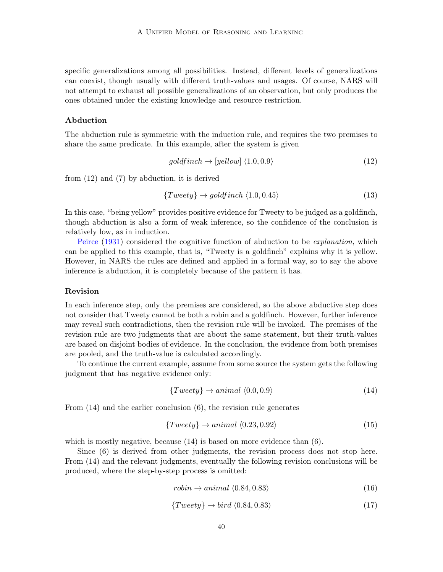specific generalizations among all possibilities. Instead, different levels of generalizations can coexist, though usually with different truth-values and usages. Of course, NARS will not attempt to exhaust all possible generalizations of an observation, but only produces the ones obtained under the existing knowledge and resource restriction.

#### Abduction

The abduction rule is symmetric with the induction rule, and requires the two premises to share the same predicate. In this example, after the system is given

$$
goldfinch \rightarrow [yellow] \langle 1.0, 0.9 \rangle \tag{12}
$$

from (12) and (7) by abduction, it is derived

$$
\{Tweety\} \to \text{goldfinch} \langle 1.0, 0.45 \rangle \tag{13}
$$

In this case, "being yellow" provides positive evidence for Tweety to be judged as a goldfinch, though abduction is also a form of weak inference, so the confidence of the conclusion is relatively low, as in induction.

[Peirce](#page-18-1) [\(1931\)](#page-18-1) considered the cognitive function of abduction to be explanation, which can be applied to this example, that is, "Tweety is a goldfinch" explains why it is yellow. However, in NARS the rules are defined and applied in a formal way, so to say the above inference is abduction, it is completely because of the pattern it has.

#### Revision

In each inference step, only the premises are considered, so the above abductive step does not consider that Tweety cannot be both a robin and a goldfinch. However, further inference may reveal such contradictions, then the revision rule will be invoked. The premises of the revision rule are two judgments that are about the same statement, but their truth-values are based on disjoint bodies of evidence. In the conclusion, the evidence from both premises are pooled, and the truth-value is calculated accordingly.

To continue the current example, assume from some source the system gets the following judgment that has negative evidence only:

$$
\{Tweety\} \to animal \langle 0.0, 0.9 \rangle \tag{14}
$$

From  $(14)$  and the earlier conclusion  $(6)$ , the revision rule generates

$$
\{Tweety\} \to animal \langle 0.23, 0.92 \rangle \tag{15}
$$

which is mostly negative, because  $(14)$  is based on more evidence than  $(6)$ .

Since (6) is derived from other judgments, the revision process does not stop here. From (14) and the relevant judgments, eventually the following revision conclusions will be produced, where the step-by-step process is omitted:

$$
robin \rightarrow animal \langle 0.84, 0.83 \rangle \tag{16}
$$

$$
\{Tweety\} \to bird \langle 0.84, 0.83 \rangle \tag{17}
$$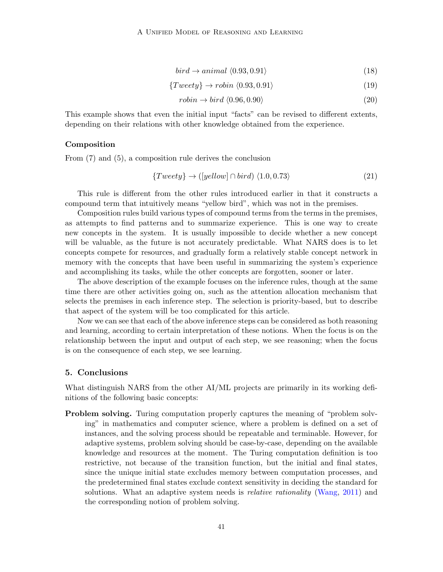$$
bird \rightarrow animal \langle 0.93, 0.91 \rangle \tag{18}
$$

$$
\{Tweety\} \to \text{robin} \langle 0.93, 0.91 \rangle \tag{19}
$$

$$
robin \to bird \langle 0.96, 0.90 \rangle \tag{20}
$$

This example shows that even the initial input "facts" can be revised to different extents, depending on their relations with other knowledge obtained from the experience.

### Composition

From (7) and (5), a composition rule derives the conclusion

$$
\{Tweety\} \to ([yellow] \cap bird) \langle 1.0, 0.73 \rangle \tag{21}
$$

This rule is different from the other rules introduced earlier in that it constructs a compound term that intuitively means "yellow bird", which was not in the premises.

Composition rules build various types of compound terms from the terms in the premises, as attempts to find patterns and to summarize experience. This is one way to create new concepts in the system. It is usually impossible to decide whether a new concept will be valuable, as the future is not accurately predictable. What NARS does is to let concepts compete for resources, and gradually form a relatively stable concept network in memory with the concepts that have been useful in summarizing the system's experience and accomplishing its tasks, while the other concepts are forgotten, sooner or later.

The above description of the example focuses on the inference rules, though at the same time there are other activities going on, such as the attention allocation mechanism that selects the premises in each inference step. The selection is priority-based, but to describe that aspect of the system will be too complicated for this article.

Now we can see that each of the above inference steps can be considered as both reasoning and learning, according to certain interpretation of these notions. When the focus is on the relationship between the input and output of each step, we see reasoning; when the focus is on the consequence of each step, we see learning.

### 5. Conclusions

What distinguish NARS from the other AI/ML projects are primarily in its working definitions of the following basic concepts:

**Problem solving.** Turing computation properly captures the meaning of "problem solving" in mathematics and computer science, where a problem is defined on a set of instances, and the solving process should be repeatable and terminable. However, for adaptive systems, problem solving should be case-by-case, depending on the available knowledge and resources at the moment. The Turing computation definition is too restrictive, not because of the transition function, but the initial and final states, since the unique initial state excludes memory between computation processes, and the predetermined final states exclude context sensitivity in deciding the standard for solutions. What an adaptive system needs is *relative rationality* [\(Wang,](#page-20-8) [2011\)](#page-20-8) and the corresponding notion of problem solving.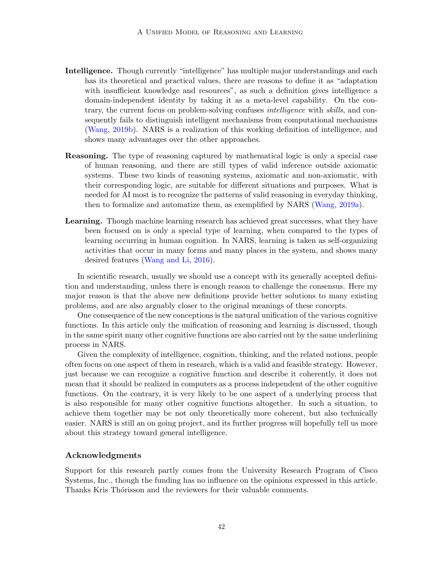- Intelligence. Though currently "intelligence" has multiple major understandings and each has its theoretical and practical values, there are reasons to define it as "adaptation with insufficient knowledge and resources", as such a definition gives intelligence a domain-independent identity by taking it as a meta-level capability. On the contrary, the current focus on problem-solving confuses intelligence with skills, and consequently fails to distinguish intelligent mechanisms from computational mechanisms [\(Wang,](#page-20-7) [2019b\)](#page-20-7). NARS is a realization of this working definition of intelligence, and shows many advantages over the other approaches.
- Reasoning. The type of reasoning captured by mathematical logic is only a special case of human reasoning, and there are still types of valid inference outside axiomatic systems. These two kinds of reasoning systems, axiomatic and non-axiomatic, with their corresponding logic, are suitable for different situations and purposes. What is needed for AI most is to recognize the patterns of valid reasoning in everyday thinking, then to formalize and automatize them, as exemplified by NARS [\(Wang,](#page-20-9) [2019a\)](#page-20-9).
- Learning. Though machine learning research has achieved great successes, what they have been focused on is only a special type of learning, when compared to the types of learning occurring in human cognition. In NARS, learning is taken as self-organizing activities that occur in many forms and many places in the system, and shows many desired features [\(Wang and Li,](#page-20-6) [2016\)](#page-20-6).

In scientific research, usually we should use a concept with its generally accepted definition and understanding, unless there is enough reason to challenge the consensus. Here my major reason is that the above new definitions provide better solutions to many existing problems, and are also arguably closer to the original meanings of these concepts.

One consequence of the new conceptions is the natural unification of the various cognitive functions. In this article only the unification of reasoning and learning is discussed, though in the same spirit many other cognitive functions are also carried out by the same underlining process in NARS.

Given the complexity of intelligence, cognition, thinking, and the related notions, people often focus on one aspect of them in research, which is a valid and feasible strategy. However, just because we can recognize a cognitive function and describe it coherently, it does not mean that it should be realized in computers as a process independent of the other cognitive functions. On the contrary, it is very likely to be one aspect of a underlying process that is also responsible for many other cognitive functions altogether. In such a situation, to achieve them together may be not only theoretically more coherent, but also technically easier. NARS is still an on going project, and its further progress will hopefully tell us more about this strategy toward general intelligence.

### Acknowledgments

Support for this research partly comes from the University Research Program of Cisco Systems, Inc., though the funding has no influence on the opinions expressed in this article. Thanks Kris Thórisson and the reviewers for their valuable comments.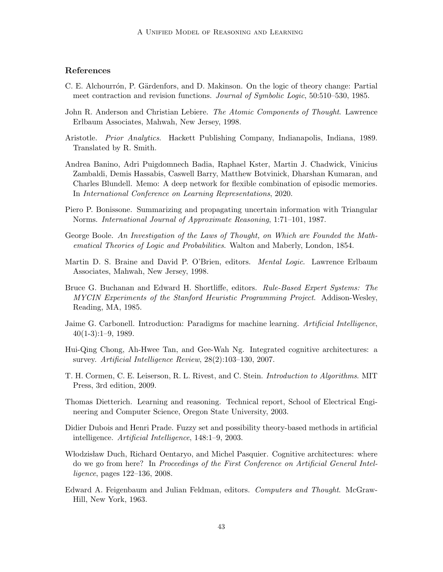# References

- <span id="page-15-6"></span>C. E. Alchourrón, P. Gärdenfors, and D. Makinson. On the logic of theory change: Partial meet contraction and revision functions. Journal of Symbolic Logic, 50:510–530, 1985.
- <span id="page-15-11"></span>John R. Anderson and Christian Lebiere. *The Atomic Components of Thought*. Lawrence Erlbaum Associates, Mahwah, New Jersey, 1998.
- <span id="page-15-2"></span>Aristotle. Prior Analytics. Hackett Publishing Company, Indianapolis, Indiana, 1989. Translated by R. Smith.
- <span id="page-15-13"></span>Andrea Banino, Adri Puigdomnech Badia, Raphael Kster, Martin J. Chadwick, Vinicius Zambaldi, Demis Hassabis, Caswell Barry, Matthew Botvinick, Dharshan Kumaran, and Charles Blundell. Memo: A deep network for flexible combination of episodic memories. In International Conference on Learning Representations, 2020.
- <span id="page-15-14"></span>Piero P. Bonissone. Summarizing and propagating uncertain information with Triangular Norms. International Journal of Approximate Reasoning, 1:71–101, 1987.
- <span id="page-15-3"></span>George Boole. An Investigation of the Laws of Thought, on Which are Founded the Mathematical Theories of Logic and Probabilities. Walton and Maberly, London, 1854.
- <span id="page-15-4"></span>Martin D. S. Braine and David P. O'Brien, editors. Mental Logic. Lawrence Erlbaum Associates, Mahwah, New Jersey, 1998.
- <span id="page-15-5"></span>Bruce G. Buchanan and Edward H. Shortliffe, editors. Rule-Based Expert Systems: The MYCIN Experiments of the Stanford Heuristic Programming Project. Addison-Wesley, Reading, MA, 1985.
- <span id="page-15-8"></span>Jaime G. Carbonell. Introduction: Paradigms for machine learning. Artificial Intelligence,  $40(1-3):1-9, 1989.$
- <span id="page-15-12"></span>Hui-Qing Chong, Ah-Hwee Tan, and Gee-Wah Ng. Integrated cognitive architectures: a survey. Artificial Intelligence Review, 28(2):103–130, 2007.
- <span id="page-15-9"></span>T. H. Cormen, C. E. Leiserson, R. L. Rivest, and C. Stein. Introduction to Algorithms. MIT Press, 3rd edition, 2009.
- <span id="page-15-10"></span>Thomas Dietterich. Learning and reasoning. Technical report, School of Electrical Engineering and Computer Science, Oregon State University, 2003.
- <span id="page-15-7"></span>Didier Dubois and Henri Prade. Fuzzy set and possibility theory-based methods in artificial intelligence. Artificial Intelligence, 148:1–9, 2003.
- <span id="page-15-1"></span>Whodzisław Duch, Richard Oentaryo, and Michel Pasquier. Cognitive architectures: where do we go from here? In Proceedings of the First Conference on Artificial General Intelligence, pages 122–136, 2008.
- <span id="page-15-0"></span>Edward A. Feigenbaum and Julian Feldman, editors. Computers and Thought. McGraw-Hill, New York, 1963.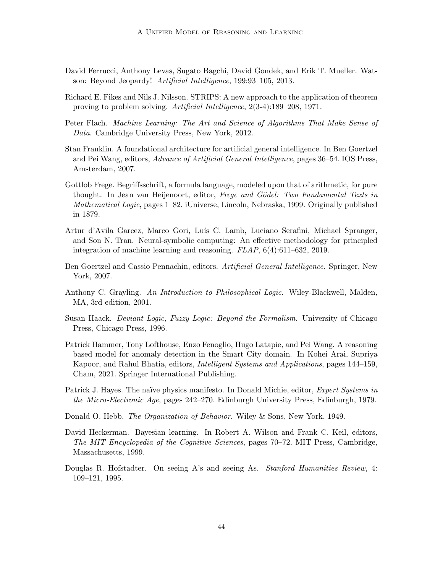- <span id="page-16-7"></span>David Ferrucci, Anthony Levas, Sugato Bagchi, David Gondek, and Erik T. Mueller. Watson: Beyond Jeopardy! Artificial Intelligence, 199:93–105, 2013.
- <span id="page-16-4"></span>Richard E. Fikes and Nils J. Nilsson. STRIPS: A new approach to the application of theorem proving to problem solving. Artificial Intelligence, 2(3-4):189–208, 1971.
- <span id="page-16-6"></span>Peter Flach. Machine Learning: The Art and Science of Algorithms That Make Sense of Data. Cambridge University Press, New York, 2012.
- <span id="page-16-9"></span>Stan Franklin. A foundational architecture for artificial general intelligence. In Ben Goertzel and Pei Wang, editors, Advance of Artificial General Intelligence, pages 36–54. IOS Press, Amsterdam, 2007.
- <span id="page-16-0"></span>Gottlob Frege. Begriffsschrift, a formula language, modeled upon that of arithmetic, for pure thought. In Jean van Heijenoort, editor, Frege and Gödel: Two Fundamental Texts in Mathematical Logic, pages 1–82. iUniverse, Lincoln, Nebraska, 1999. Originally published in 1879.
- <span id="page-16-10"></span>Artur d'Avila Garcez, Marco Gori, Luís C. Lamb, Luciano Serafini, Michael Spranger, and Son N. Tran. Neural-symbolic computing: An effective methodology for principled integration of machine learning and reasoning. FLAP, 6(4):611–632, 2019.
- <span id="page-16-12"></span>Ben Goertzel and Cassio Pennachin, editors. Artificial General Intelligence. Springer, New York, 2007.
- <span id="page-16-1"></span>Anthony C. Grayling. An Introduction to Philosophical Logic. Wiley-Blackwell, Malden, MA, 3rd edition, 2001.
- <span id="page-16-2"></span>Susan Haack. Deviant Logic, Fuzzy Logic: Beyond the Formalism. University of Chicago Press, Chicago Press, 1996.
- <span id="page-16-8"></span>Patrick Hammer, Tony Lofthouse, Enzo Fenoglio, Hugo Latapie, and Pei Wang. A reasoning based model for anomaly detection in the Smart City domain. In Kohei Arai, Supriya Kapoor, and Rahul Bhatia, editors, Intelligent Systems and Applications, pages 144–159, Cham, 2021. Springer International Publishing.
- <span id="page-16-3"></span>Patrick J. Hayes. The naïve physics manifesto. In Donald Michie, editor, *Expert Systems in* the Micro-Electronic Age, pages 242–270. Edinburgh University Press, Edinburgh, 1979.
- <span id="page-16-5"></span>Donald O. Hebb. The Organization of Behavior. Wiley & Sons, New York, 1949.
- <span id="page-16-11"></span>David Heckerman. Bayesian learning. In Robert A. Wilson and Frank C. Keil, editors, The MIT Encyclopedia of the Cognitive Sciences, pages 70–72. MIT Press, Cambridge, Massachusetts, 1999.
- <span id="page-16-13"></span>Douglas R. Hofstadter. On seeing A's and seeing As. Stanford Humanities Review, 4: 109–121, 1995.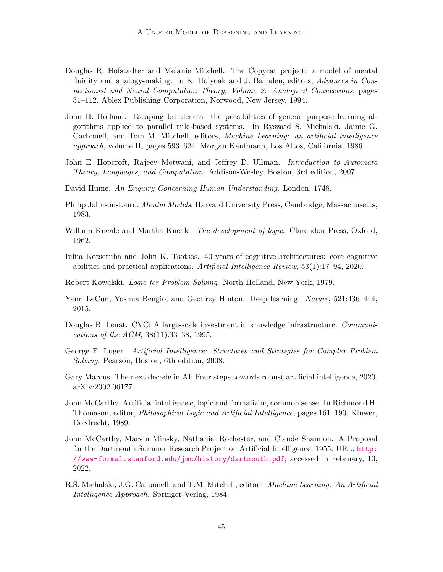- <span id="page-17-14"></span>Douglas R. Hofstadter and Melanie Mitchell. The Copycat project: a model of mental fluidity and analogy-making. In K. Holyoak and J. Barnden, editors, Advances in Connectionist and Neural Computation Theory, Volume 2: Analogical Connections, pages 31–112. Ablex Publishing Corporation, Norwood, New Jersey, 1994.
- <span id="page-17-11"></span>John H. Holland. Escaping brittleness: the possibilities of general purpose learning algorithms applied to parallel rule-based systems. In Ryszard S. Michalski, Jaime G. Carbonell, and Tom M. Mitchell, editors, Machine Learning: an artificial intelligence approach, volume II, pages 593–624. Morgan Kaufmann, Los Altos, California, 1986.
- <span id="page-17-6"></span>John E. Hopcroft, Rajeev Motwani, and Jeffrey D. Ullman. *Introduction to Automata* Theory, Languages, and Computation. Addison-Wesley, Boston, 3rd edition, 2007.
- <span id="page-17-4"></span>David Hume. An Enquiry Concerning Human Understanding. London, 1748.
- <span id="page-17-5"></span>Philip Johnson-Laird. Mental Models. Harvard University Press, Cambridge, Massachusetts, 1983.
- <span id="page-17-3"></span>William Kneale and Martha Kneale. The development of logic. Clarendon Press, Oxford, 1962.
- <span id="page-17-2"></span>Iuliia Kotseruba and John K. Tsotsos. 40 years of cognitive architectures: core cognitive abilities and practical applications. Artificial Intelligence Review, 53(1):17–94, 2020.
- <span id="page-17-9"></span>Robert Kowalski. Logic for Problem Solving. North Holland, New York, 1979.
- <span id="page-17-12"></span>Yann LeCun, Yoshua Bengio, and Geoffrey Hinton. Deep learning. Nature, 521:436–444, 2015.
- <span id="page-17-7"></span>Douglas B. Lenat. CYC: A large-scale investment in knowledge infrastructure. *Communi*cations of the ACM, 38(11):33–38, 1995.
- <span id="page-17-1"></span>George F. Luger. Artificial Intelligence: Structures and Strategies for Complex Problem Solving. Pearson, Boston, 6th edition, 2008.
- <span id="page-17-13"></span>Gary Marcus. The next decade in AI: Four steps towards robust artificial intelligence, 2020. arXiv:2002.06177.
- <span id="page-17-8"></span>John McCarthy. Artificial intelligence, logic and formalizing common sense. In Richmond H. Thomason, editor, Philosophical Logic and Artificial Intelligence, pages 161–190. Kluwer, Dordrecht, 1989.
- <span id="page-17-0"></span>John McCarthy, Marvin Minsky, Nathaniel Rochester, and Claude Shannon. A Proposal for the Dartmouth Summer Research Project on Artificial Intelligence, 1955. URL: [http:](http://www-formal.stanford.edu/jmc/history/dartmouth.pdf) [//www-formal.stanford.edu/jmc/history/dartmouth.pdf](http://www-formal.stanford.edu/jmc/history/dartmouth.pdf), accessed in February, 10, 2022.
- <span id="page-17-10"></span>R.S. Michalski, J.G. Carbonell, and T.M. Mitchell, editors. Machine Learning: An Artificial Intelligence Approach. Springer-Verlag, 1984.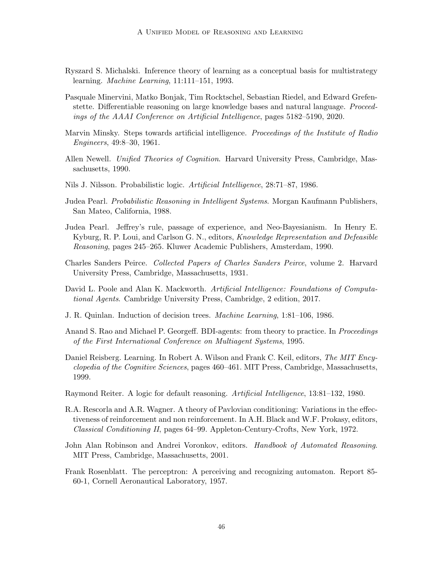- <span id="page-18-13"></span>Ryszard S. Michalski. Inference theory of learning as a conceptual basis for multistrategy learning. Machine Learning, 11:111–151, 1993.
- <span id="page-18-15"></span>Pasquale Minervini, Matko Bonjak, Tim Rocktschel, Sebastian Riedel, and Edward Grefenstette. Differentiable reasoning on large knowledge bases and natural language. Proceedings of the AAAI Conference on Artificial Intelligence, pages 5182–5190, 2020.
- <span id="page-18-9"></span>Marvin Minsky. Steps towards artificial intelligence. Proceedings of the Institute of Radio Engineers, 49:8–30, 1961.
- <span id="page-18-12"></span>Allen Newell. Unified Theories of Cognition. Harvard University Press, Cambridge, Massachusetts, 1990.
- <span id="page-18-4"></span>Nils J. Nilsson. Probabilistic logic. Artificial Intelligence, 28:71–87, 1986.
- <span id="page-18-5"></span>Judea Pearl. Probabilistic Reasoning in Intelligent Systems. Morgan Kaufmann Publishers, San Mateo, California, 1988.
- <span id="page-18-14"></span>Judea Pearl. Jeffrey's rule, passage of experience, and Neo-Bayesianism. In Henry E. Kyburg, R. P. Loui, and Carlson G. N., editors, Knowledge Representation and Defeasible Reasoning, pages 245–265. Kluwer Academic Publishers, Amsterdam, 1990.
- <span id="page-18-1"></span>Charles Sanders Peirce. Collected Papers of Charles Sanders Peirce, volume 2. Harvard University Press, Cambridge, Massachusetts, 1931.
- <span id="page-18-0"></span>David L. Poole and Alan K. Mackworth. Artificial Intelligence: Foundations of Computational Agents. Cambridge University Press, Cambridge, 2 edition, 2017.
- <span id="page-18-10"></span>J. R. Quinlan. Induction of decision trees. Machine Learning, 1:81–106, 1986.
- <span id="page-18-6"></span>Anand S. Rao and Michael P. Georgeff. BDI-agents: from theory to practice. In Proceedings of the First International Conference on Multiagent Systems, 1995.
- <span id="page-18-7"></span>Daniel Reisberg. Learning. In Robert A. Wilson and Frank C. Keil, editors, *The MIT Ency*clopedia of the Cognitive Sciences, pages 460–461. MIT Press, Cambridge, Massachusetts, 1999.
- <span id="page-18-3"></span>Raymond Reiter. A logic for default reasoning. Artificial Intelligence, 13:81–132, 1980.
- <span id="page-18-8"></span>R.A. Rescorla and A.R. Wagner. A theory of Pavlovian conditioning: Variations in the effectiveness of reinforcement and non reinforcement. In A.H. Black and W.F. Prokasy, editors, Classical Conditioning II, pages 64–99. Appleton-Century-Crofts, New York, 1972.
- <span id="page-18-2"></span>John Alan Robinson and Andrei Voronkov, editors. Handbook of Automated Reasoning. MIT Press, Cambridge, Massachusetts, 2001.
- <span id="page-18-11"></span>Frank Rosenblatt. The perceptron: A perceiving and recognizing automaton. Report 85- 60-1, Cornell Aeronautical Laboratory, 1957.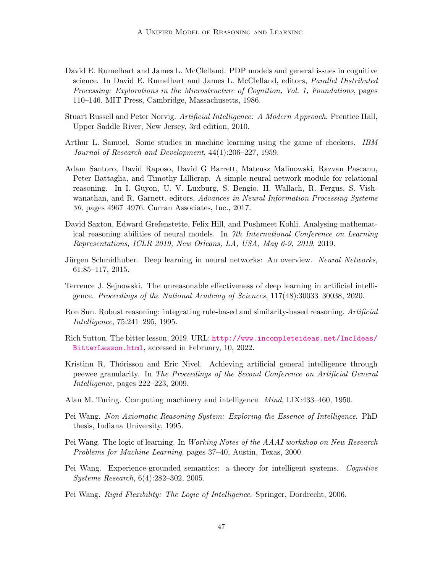- <span id="page-19-5"></span>David E. Rumelhart and James L. McClelland. PDP models and general issues in cognitive science. In David E. Rumelhart and James L. McClelland, editors, Parallel Distributed Processing: Explorations in the Microstructure of Cognition, Vol. 1, Foundations, pages 110–146. MIT Press, Cambridge, Massachusetts, 1986.
- <span id="page-19-0"></span>Stuart Russell and Peter Norvig. Artificial Intelligence: A Modern Approach. Prentice Hall, Upper Saddle River, New Jersey, 3rd edition, 2010.
- <span id="page-19-4"></span>Arthur L. Samuel. Some studies in machine learning using the game of checkers. IBM Journal of Research and Development, 44(1):206–227, 1959.
- <span id="page-19-10"></span>Adam Santoro, David Raposo, David G Barrett, Mateusz Malinowski, Razvan Pascanu, Peter Battaglia, and Timothy Lillicrap. A simple neural network module for relational reasoning. In I. Guyon, U. V. Luxburg, S. Bengio, H. Wallach, R. Fergus, S. Vishwanathan, and R. Garnett, editors, Advances in Neural Information Processing Systems 30, pages 4967–4976. Curran Associates, Inc., 2017.
- <span id="page-19-11"></span>David Saxton, Edward Grefenstette, Felix Hill, and Pushmeet Kohli. Analysing mathematical reasoning abilities of neural models. In 7th International Conference on Learning Representations, ICLR 2019, New Orleans, LA, USA, May 6-9, 2019, 2019.
- <span id="page-19-6"></span>Jürgen Schmidhuber. Deep learning in neural networks: An overview. Neural Networks, 61:85–117, 2015.
- <span id="page-19-8"></span>Terrence J. Sejnowski. The unreasonable effectiveness of deep learning in artificial intelligence. Proceedings of the National Academy of Sciences, 117(48):30033–30038, 2020.
- <span id="page-19-9"></span>Ron Sun. Robust reasoning: integrating rule-based and similarity-based reasoning. Artificial Intelligence, 75:241–295, 1995.
- <span id="page-19-7"></span>Rich Sutton. The bitter lesson, 2019. URL: [http://www.incompleteideas.net/IncIdeas/](http://www.incompleteideas.net/IncIdeas/BitterLesson.html) [BitterLesson.html](http://www.incompleteideas.net/IncIdeas/BitterLesson.html), accessed in February, 10, 2022.
- <span id="page-19-12"></span>Kristinn R. Thórisson and Eric Nivel. Achieving artificial general intelligence through peewee granularity. In The Proceedings of the Second Conference on Artificial General Intelligence, pages 222–223, 2009.
- <span id="page-19-3"></span>Alan M. Turing. Computing machinery and intelligence. Mind, LIX:433–460, 1950.
- <span id="page-19-1"></span>Pei Wang. Non-Axiomatic Reasoning System: Exploring the Essence of Intelligence. PhD thesis, Indiana University, 1995.
- <span id="page-19-14"></span>Pei Wang. The logic of learning. In Working Notes of the AAAI workshop on New Research Problems for Machine Learning, pages 37–40, Austin, Texas, 2000.
- <span id="page-19-13"></span>Pei Wang. Experience-grounded semantics: a theory for intelligent systems. Cognitive Systems Research, 6(4):282–302, 2005.
- <span id="page-19-2"></span>Pei Wang. Rigid Flexibility: The Logic of Intelligence. Springer, Dordrecht, 2006.